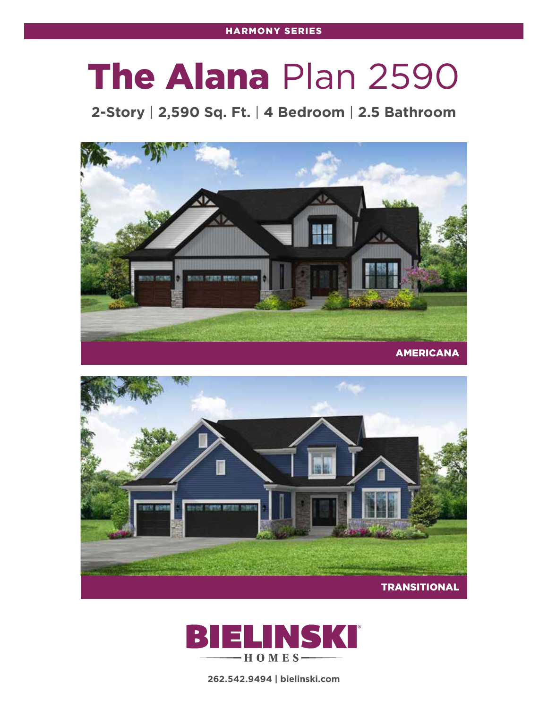## The Alana Plan 2590

**2-Story** | **2,590 Sq. Ft.** | **4 Bedroom** | **2.5 Bathroom**







**262.542.9494 | bielinski.com**